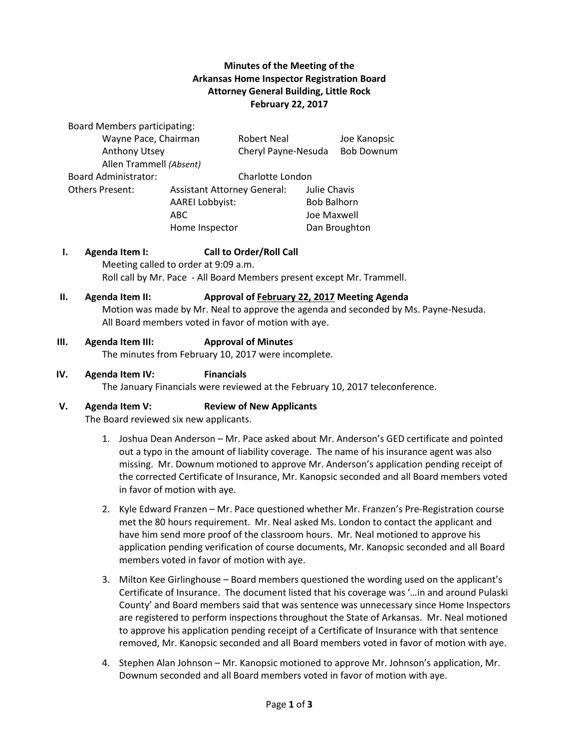# **Minutes of the Meeting of the Arkansas Home Inspector Registration Board Attorney General Building, Little Rock February 22, 2017**

Board Members participating:

| Wayne Pace, Chairman        |                                    | <b>Robert Neal</b>  |                    | Joe Kanopsic      |
|-----------------------------|------------------------------------|---------------------|--------------------|-------------------|
| Anthony Utsey               |                                    | Cheryl Payne-Nesuda |                    | <b>Bob Downum</b> |
| Allen Trammell (Absent)     |                                    |                     |                    |                   |
| <b>Board Administrator:</b> |                                    | Charlotte London    |                    |                   |
| <b>Others Present:</b>      | <b>Assistant Attorney General:</b> |                     | Julie Chavis       |                   |
|                             | <b>AAREI Lobbyist:</b>             |                     | <b>Bob Balhorn</b> |                   |
|                             | ABC.                               |                     | Joe Maxwell        |                   |
|                             | Home Inspector                     |                     |                    | Dan Broughton     |

## **I. Agenda Item I: Call to Order/Roll Call**

Meeting called to order at 9:09 a.m. Roll call by Mr. Pace - All Board Members present except Mr. Trammell.

#### **II. Agenda Item II: Approval of February 22, 2017 Meeting Agenda**

Motion was made by Mr. Neal to approve the agenda and seconded by Ms. Payne-Nesuda. All Board members voted in favor of motion with aye.

#### **III. Agenda Item III: Approval of Minutes**

The minutes from February 10, 2017 were incomplete.

# **IV. Agenda Item IV: Financials**

The January Financials were reviewed at the February 10, 2017 teleconference.

#### **V. Agenda Item V: Review of New Applicants**

The Board reviewed six new applicants.

- 1. Joshua Dean Anderson Mr. Pace asked about Mr. Anderson's GED certificate and pointed out a typo in the amount of liability coverage. The name of his insurance agent was also missing. Mr. Downum motioned to approve Mr. Anderson's application pending receipt of the corrected Certificate of Insurance, Mr. Kanopsic seconded and all Board members voted in favor of motion with aye.
- 2. Kyle Edward Franzen Mr. Pace questioned whether Mr. Franzen's Pre-Registration course met the 80 hours requirement. Mr. Neal asked Ms. London to contact the applicant and have him send more proof of the classroom hours. Mr. Neal motioned to approve his application pending verification of course documents, Mr. Kanopsic seconded and all Board members voted in favor of motion with aye.
- 3. Milton Kee Girlinghouse Board members questioned the wording used on the applicant's Certificate of Insurance. The document listed that his coverage was '…in and around Pulaski County' and Board members said that was sentence was unnecessary since Home Inspectors are registered to perform inspections throughout the State of Arkansas. Mr. Neal motioned to approve his application pending receipt of a Certificate of Insurance with that sentence removed, Mr. Kanopsic seconded and all Board members voted in favor of motion with aye.
- 4. Stephen Alan Johnson Mr. Kanopsic motioned to approve Mr. Johnson's application, Mr. Downum seconded and all Board members voted in favor of motion with aye.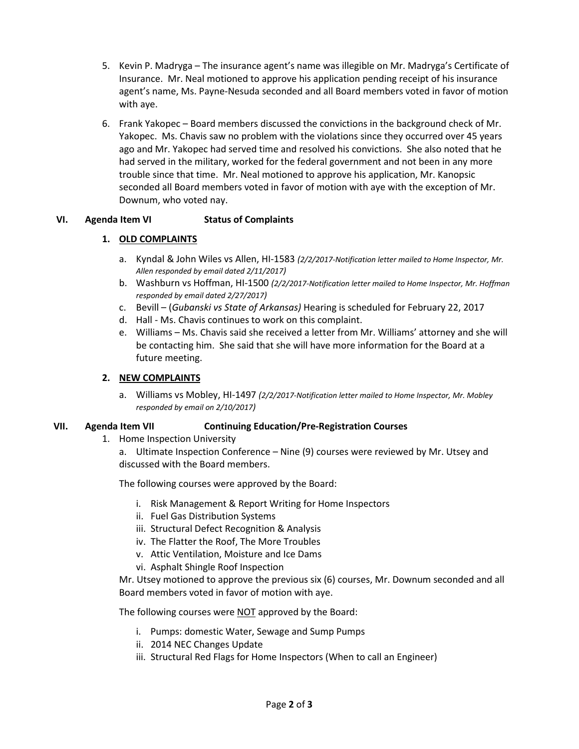- 5. Kevin P. Madryga The insurance agent's name was illegible on Mr. Madryga's Certificate of Insurance. Mr. Neal motioned to approve his application pending receipt of his insurance agent's name, Ms. Payne-Nesuda seconded and all Board members voted in favor of motion with aye.
- 6. Frank Yakopec Board members discussed the convictions in the background check of Mr. Yakopec. Ms. Chavis saw no problem with the violations since they occurred over 45 years ago and Mr. Yakopec had served time and resolved his convictions. She also noted that he had served in the military, worked for the federal government and not been in any more trouble since that time. Mr. Neal motioned to approve his application, Mr. Kanopsic seconded all Board members voted in favor of motion with aye with the exception of Mr. Downum, who voted nay.

## **VI. Agenda Item VI Status of Complaints**

## **1. OLD COMPLAINTS**

- a. Kyndal & John Wiles vs Allen, HI-1583 *(2/2/2017-Notification letter mailed to Home Inspector, Mr. Allen responded by email dated 2/11/2017)*
- b. Washburn vs Hoffman, HI-1500 *(2/2/2017-Notification letter mailed to Home Inspector, Mr. Hoffman responded by email dated 2/27/2017)*
- c. Bevill (*Gubanski vs State of Arkansas)* Hearing is scheduled for February 22, 2017
- d. Hall Ms. Chavis continues to work on this complaint.
- e. Williams Ms. Chavis said she received a letter from Mr. Williams' attorney and she will be contacting him. She said that she will have more information for the Board at a future meeting.

## **2. NEW COMPLAINTS**

a. Williams vs Mobley, HI-1497 *(2/2/2017-Notification letter mailed to Home Inspector, Mr. Mobley responded by email on 2/10/2017)*

## **VII. Agenda Item VII Continuing Education/Pre-Registration Courses**

1. Home Inspection University

a. Ultimate Inspection Conference – Nine (9) courses were reviewed by Mr. Utsey and discussed with the Board members.

The following courses were approved by the Board:

- i. Risk Management & Report Writing for Home Inspectors
- ii. Fuel Gas Distribution Systems
- iii. Structural Defect Recognition & Analysis
- iv. The Flatter the Roof, The More Troubles
- v. Attic Ventilation, Moisture and Ice Dams
- vi. Asphalt Shingle Roof Inspection

Mr. Utsey motioned to approve the previous six (6) courses, Mr. Downum seconded and all Board members voted in favor of motion with aye.

The following courses were NOT approved by the Board:

- i. Pumps: domestic Water, Sewage and Sump Pumps
- ii. 2014 NEC Changes Update
- iii. Structural Red Flags for Home Inspectors (When to call an Engineer)